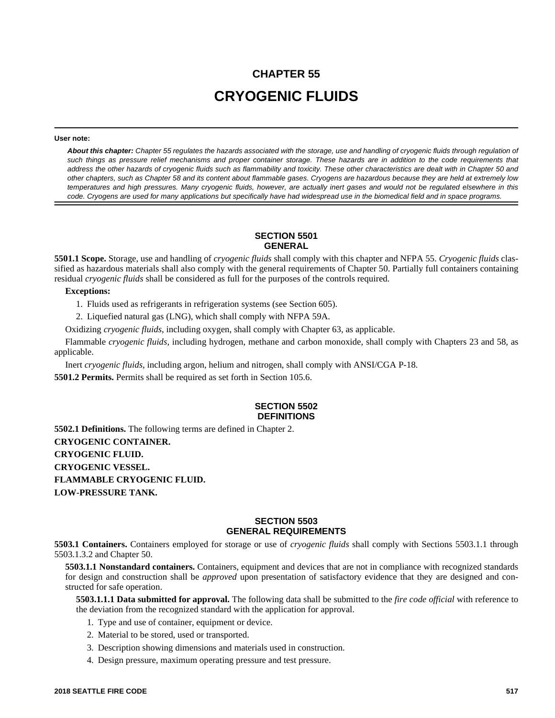# **CHAPTER 55 CRYOGENIC FLUIDS**

#### **User note:**

*About this chapter: Chapter 55 regulates the hazards associated with the storage, use and handling of cryogenic fluids through regulation of such things as pressure relief mechanisms and proper container storage. These hazards are in addition to the code requirements that address the other hazards of cryogenic fluids such as flammability and toxicity. These other characteristics are dealt with in Chapter 50 and other chapters, such as Chapter 58 and its content about flammable gases. Cryogens are hazardous because they are held at extremely low temperatures and high pressures. Many cryogenic fluids, however, are actually inert gases and would not be regulated elsewhere in this code. Cryogens are used for many applications but specifically have had widespread use in the biomedical field and in space programs.*

## **SECTION 5501 GENERAL**

**5501.1 Scope.** Storage, use and handling of *cryogenic fluids* shall comply with this chapter and NFPA 55. *Cryogenic fluids* classified as hazardous materials shall also comply with the general requirements of Chapter 50. Partially full containers containing residual *cryogenic fluids* shall be considered as full for the purposes of the controls required.

#### **Exceptions:**

- 1. Fluids used as refrigerants in refrigeration systems (see Section 605).
- 2. Liquefied natural gas (LNG), which shall comply with NFPA 59A.

Oxidizing *cryogenic fluids*, including oxygen, shall comply with Chapter 63, as applicable.

Flammable *cryogenic fluids*, including hydrogen, methane and carbon monoxide, shall comply with Chapters 23 and 58, as applicable.

Inert *cryogenic fluids*, including argon, helium and nitrogen, shall comply with ANSI/CGA P-18.

**5501.2 Permits.** Permits shall be required as set forth in Section 105.6.

## **SECTION 5502 DEFINITIONS**

**5502.1 Definitions.** The following terms are defined in Chapter 2. **CRYOGENIC CONTAINER. CRYOGENIC FLUID. CRYOGENIC VESSEL. FLAMMABLE CRYOGENIC FLUID. LOW-PRESSURE TANK.**

#### **SECTION 5503 GENERAL REQUIREMENTS**

**5503.1 Containers.** Containers employed for storage or use of *cryogenic fluids* shall comply with Sections 5503.1.1 through 5503.1.3.2 and Chapter 50.

**5503.1.1 Nonstandard containers.** Containers, equipment and devices that are not in compliance with recognized standards for design and construction shall be *approved* upon presentation of satisfactory evidence that they are designed and constructed for safe operation.

**5503.1.1.1 Data submitted for approval.** The following data shall be submitted to the *fire code official* with reference to the deviation from the recognized standard with the application for approval.

- 1. Type and use of container, equipment or device.
- 2. Material to be stored, used or transported.
- 3. Description showing dimensions and materials used in construction.
- 4. Design pressure, maximum operating pressure and test pressure.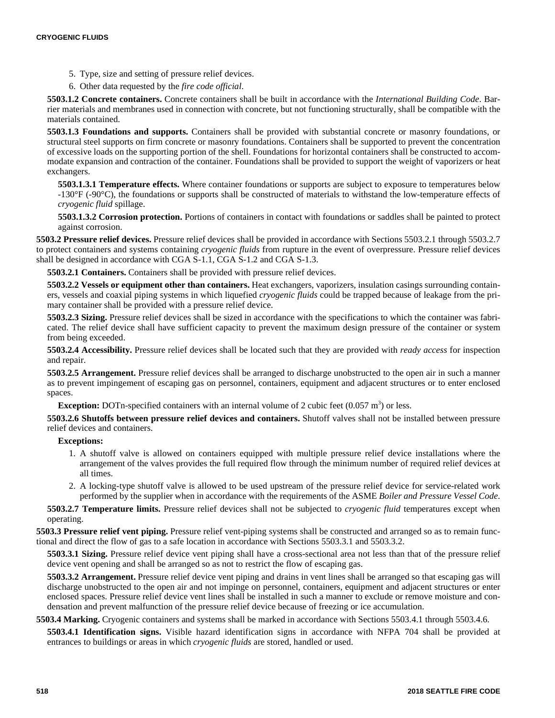- 5. Type, size and setting of pressure relief devices.
- 6. Other data requested by the *fire code official*.

**5503.1.2 Concrete containers.** Concrete containers shall be built in accordance with the *International Building Code*. Barrier materials and membranes used in connection with concrete, but not functioning structurally, shall be compatible with the materials contained.

**5503.1.3 Foundations and supports.** Containers shall be provided with substantial concrete or masonry foundations, or structural steel supports on firm concrete or masonry foundations. Containers shall be supported to prevent the concentration of excessive loads on the supporting portion of the shell. Foundations for horizontal containers shall be constructed to accommodate expansion and contraction of the container. Foundations shall be provided to support the weight of vaporizers or heat exchangers.

**5503.1.3.1 Temperature effects.** Where container foundations or supports are subject to exposure to temperatures below -130°F (-90°C), the foundations or supports shall be constructed of materials to withstand the low-temperature effects of *cryogenic fluid* spillage.

**5503.1.3.2 Corrosion protection.** Portions of containers in contact with foundations or saddles shall be painted to protect against corrosion.

**5503.2 Pressure relief devices.** Pressure relief devices shall be provided in accordance with Sections 5503.2.1 through 5503.2.7 to protect containers and systems containing *cryogenic fluids* from rupture in the event of overpressure. Pressure relief devices shall be designed in accordance with CGA S-1.1, CGA S-1.2 and CGA S-1.3.

**5503.2.1 Containers.** Containers shall be provided with pressure relief devices.

**5503.2.2 Vessels or equipment other than containers.** Heat exchangers, vaporizers, insulation casings surrounding containers, vessels and coaxial piping systems in which liquefied *cryogenic fluids* could be trapped because of leakage from the primary container shall be provided with a pressure relief device.

**5503.2.3 Sizing.** Pressure relief devices shall be sized in accordance with the specifications to which the container was fabricated. The relief device shall have sufficient capacity to prevent the maximum design pressure of the container or system from being exceeded.

**5503.2.4 Accessibility.** Pressure relief devices shall be located such that they are provided with *ready access* for inspection and repair.

**5503.2.5 Arrangement.** Pressure relief devices shall be arranged to discharge unobstructed to the open air in such a manner as to prevent impingement of escaping gas on personnel, containers, equipment and adjacent structures or to enter enclosed spaces.

**Exception:** DOTn-specified containers with an internal volume of 2 cubic feet  $(0.057 \text{ m}^3)$  or less.

**5503.2.6 Shutoffs between pressure relief devices and containers.** Shutoff valves shall not be installed between pressure relief devices and containers.

#### **Exceptions:**

- 1. A shutoff valve is allowed on containers equipped with multiple pressure relief device installations where the arrangement of the valves provides the full required flow through the minimum number of required relief devices at all times.
- 2. A locking-type shutoff valve is allowed to be used upstream of the pressure relief device for service-related work performed by the supplier when in accordance with the requirements of the ASME *Boiler and Pressure Vessel Code*.

**5503.2.7 Temperature limits.** Pressure relief devices shall not be subjected to *cryogenic fluid* temperatures except when operating.

**5503.3 Pressure relief vent piping.** Pressure relief vent-piping systems shall be constructed and arranged so as to remain functional and direct the flow of gas to a safe location in accordance with Sections 5503.3.1 and 5503.3.2.

**5503.3.1 Sizing.** Pressure relief device vent piping shall have a cross-sectional area not less than that of the pressure relief device vent opening and shall be arranged so as not to restrict the flow of escaping gas.

**5503.3.2 Arrangement.** Pressure relief device vent piping and drains in vent lines shall be arranged so that escaping gas will discharge unobstructed to the open air and not impinge on personnel, containers, equipment and adjacent structures or enter enclosed spaces. Pressure relief device vent lines shall be installed in such a manner to exclude or remove moisture and condensation and prevent malfunction of the pressure relief device because of freezing or ice accumulation.

**5503.4 Marking.** Cryogenic containers and systems shall be marked in accordance with Sections 5503.4.1 through 5503.4.6.

**5503.4.1 Identification signs.** Visible hazard identification signs in accordance with NFPA 704 shall be provided at entrances to buildings or areas in which *cryogenic fluids* are stored, handled or used.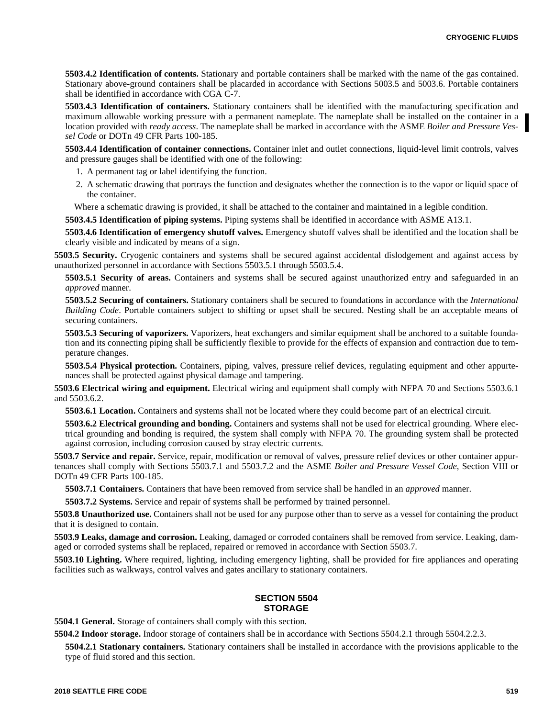**5503.4.2 Identification of contents.** Stationary and portable containers shall be marked with the name of the gas contained. Stationary above-ground containers shall be placarded in accordance with Sections 5003.5 and 5003.6. Portable containers shall be identified in accordance with CGA C-7.

**5503.4.3 Identification of containers.** Stationary containers shall be identified with the manufacturing specification and maximum allowable working pressure with a permanent nameplate. The nameplate shall be installed on the container in a location provided with *ready access*. The nameplate shall be marked in accordance with the ASME *Boiler and Pressure Vessel Code* or DOTn 49 CFR Parts 100-185.

**5503.4.4 Identification of container connections.** Container inlet and outlet connections, liquid-level limit controls, valves and pressure gauges shall be identified with one of the following:

- 1. A permanent tag or label identifying the function.
- 2. A schematic drawing that portrays the function and designates whether the connection is to the vapor or liquid space of the container.

Where a schematic drawing is provided, it shall be attached to the container and maintained in a legible condition.

**5503.4.5 Identification of piping systems.** Piping systems shall be identified in accordance with ASME A13.1.

**5503.4.6 Identification of emergency shutoff valves.** Emergency shutoff valves shall be identified and the location shall be clearly visible and indicated by means of a sign.

**5503.5 Security.** Cryogenic containers and systems shall be secured against accidental dislodgement and against access by unauthorized personnel in accordance with Sections 5503.5.1 through 5503.5.4.

**5503.5.1 Security of areas.** Containers and systems shall be secured against unauthorized entry and safeguarded in an *approved* manner.

**5503.5.2 Securing of containers.** Stationary containers shall be secured to foundations in accordance with the *International Building Code*. Portable containers subject to shifting or upset shall be secured. Nesting shall be an acceptable means of securing containers.

**5503.5.3 Securing of vaporizers.** Vaporizers, heat exchangers and similar equipment shall be anchored to a suitable foundation and its connecting piping shall be sufficiently flexible to provide for the effects of expansion and contraction due to temperature changes.

**5503.5.4 Physical protection.** Containers, piping, valves, pressure relief devices, regulating equipment and other appurtenances shall be protected against physical damage and tampering.

**5503.6 Electrical wiring and equipment.** Electrical wiring and equipment shall comply with NFPA 70 and Sections 5503.6.1 and 5503.6.2.

**5503.6.1 Location.** Containers and systems shall not be located where they could become part of an electrical circuit.

**5503.6.2 Electrical grounding and bonding.** Containers and systems shall not be used for electrical grounding. Where electrical grounding and bonding is required, the system shall comply with NFPA 70. The grounding system shall be protected against corrosion, including corrosion caused by stray electric currents.

**5503.7 Service and repair.** Service, repair, modification or removal of valves, pressure relief devices or other container appurtenances shall comply with Sections 5503.7.1 and 5503.7.2 and the ASME *Boiler and Pressure Vessel Code*, Section VIII or DOTn 49 CFR Parts 100-185.

**5503.7.1 Containers.** Containers that have been removed from service shall be handled in an *approved* manner.

**5503.7.2 Systems.** Service and repair of systems shall be performed by trained personnel.

**5503.8 Unauthorized use.** Containers shall not be used for any purpose other than to serve as a vessel for containing the product that it is designed to contain.

**5503.9 Leaks, damage and corrosion.** Leaking, damaged or corroded containers shall be removed from service. Leaking, damaged or corroded systems shall be replaced, repaired or removed in accordance with Section 5503.7.

**5503.10 Lighting.** Where required, lighting, including emergency lighting, shall be provided for fire appliances and operating facilities such as walkways, control valves and gates ancillary to stationary containers.

## **SECTION 5504 STORAGE**

**5504.1 General.** Storage of containers shall comply with this section.

**5504.2 Indoor storage.** Indoor storage of containers shall be in accordance with Sections 5504.2.1 through 5504.2.2.3.

**5504.2.1 Stationary containers.** Stationary containers shall be installed in accordance with the provisions applicable to the type of fluid stored and this section.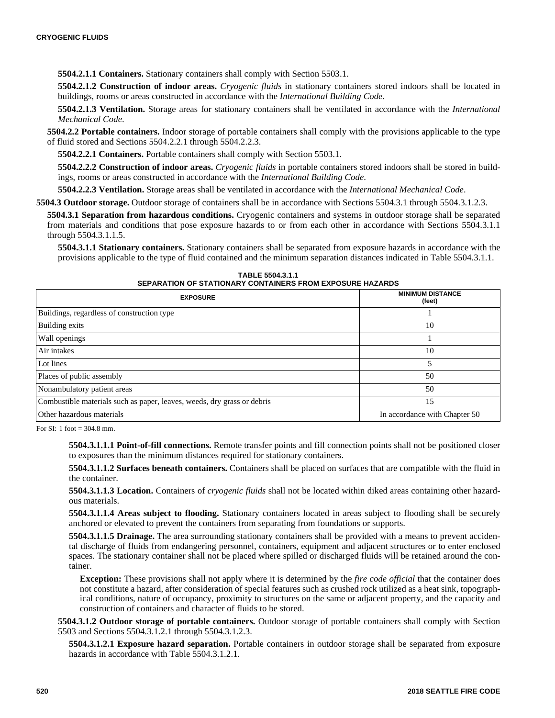**5504.2.1.1 Containers.** Stationary containers shall comply with Section 5503.1.

**5504.2.1.2 Construction of indoor areas.** *Cryogenic fluids* in stationary containers stored indoors shall be located in buildings, rooms or areas constructed in accordance with the *International Building Code*.

**5504.2.1.3 Ventilation.** Storage areas for stationary containers shall be ventilated in accordance with the *International Mechanical Code*.

**5504.2.2 Portable containers.** Indoor storage of portable containers shall comply with the provisions applicable to the type of fluid stored and Sections 5504.2.2.1 through 5504.2.2.3.

**5504.2.2.1 Containers.** Portable containers shall comply with Section 5503.1.

**5504.2.2.2 Construction of indoor areas.** *Cryogenic fluids* in portable containers stored indoors shall be stored in buildings, rooms or areas constructed in accordance with the *International Building Code*.

**5504.2.2.3 Ventilation.** Storage areas shall be ventilated in accordance with the *International Mechanical Code*.

**5504.3 Outdoor storage.** Outdoor storage of containers shall be in accordance with Sections 5504.3.1 through 5504.3.1.2.3.

**5504.3.1 Separation from hazardous conditions.** Cryogenic containers and systems in outdoor storage shall be separated from materials and conditions that pose exposure hazards to or from each other in accordance with Sections 5504.3.1.1 through 5504.3.1.1.5.

**5504.3.1.1 Stationary containers.** Stationary containers shall be separated from exposure hazards in accordance with the provisions applicable to the type of fluid contained and the minimum separation distances indicated in Table 5504.3.1.1.

**TABLE 5504.3.1.1 SEPARATION OF STATIONARY CONTAINERS FROM EXPOSURE HAZARDS**

| <b>EXPOSURE</b>                                                         | <b>MINIMUM DISTANCE</b><br>(feet) |
|-------------------------------------------------------------------------|-----------------------------------|
| Buildings, regardless of construction type                              |                                   |
| Building exits                                                          | 10                                |
| Wall openings                                                           |                                   |
| Air intakes                                                             | 10                                |
| Lot lines                                                               |                                   |
| Places of public assembly                                               | 50                                |
| Nonambulatory patient areas                                             | 50                                |
| Combustible materials such as paper, leaves, weeds, dry grass or debris | 15                                |
| Other hazardous materials                                               | In accordance with Chapter 50     |

For SI: 1 foot = 304.8 mm.

**5504.3.1.1.1 Point-of-fill connections.** Remote transfer points and fill connection points shall not be positioned closer to exposures than the minimum distances required for stationary containers.

**5504.3.1.1.2 Surfaces beneath containers.** Containers shall be placed on surfaces that are compatible with the fluid in the container.

**5504.3.1.1.3 Location.** Containers of *cryogenic fluids* shall not be located within diked areas containing other hazardous materials.

**5504.3.1.1.4 Areas subject to flooding.** Stationary containers located in areas subject to flooding shall be securely anchored or elevated to prevent the containers from separating from foundations or supports.

**5504.3.1.1.5 Drainage.** The area surrounding stationary containers shall be provided with a means to prevent accidental discharge of fluids from endangering personnel, containers, equipment and adjacent structures or to enter enclosed spaces. The stationary container shall not be placed where spilled or discharged fluids will be retained around the container.

**Exception:** These provisions shall not apply where it is determined by the *fire code official* that the container does not constitute a hazard, after consideration of special features such as crushed rock utilized as a heat sink, topographical conditions, nature of occupancy, proximity to structures on the same or adjacent property, and the capacity and construction of containers and character of fluids to be stored.

**5504.3.1.2 Outdoor storage of portable containers.** Outdoor storage of portable containers shall comply with Section 5503 and Sections 5504.3.1.2.1 through 5504.3.1.2.3.

**5504.3.1.2.1 Exposure hazard separation.** Portable containers in outdoor storage shall be separated from exposure hazards in accordance with Table 5504.3.1.2.1.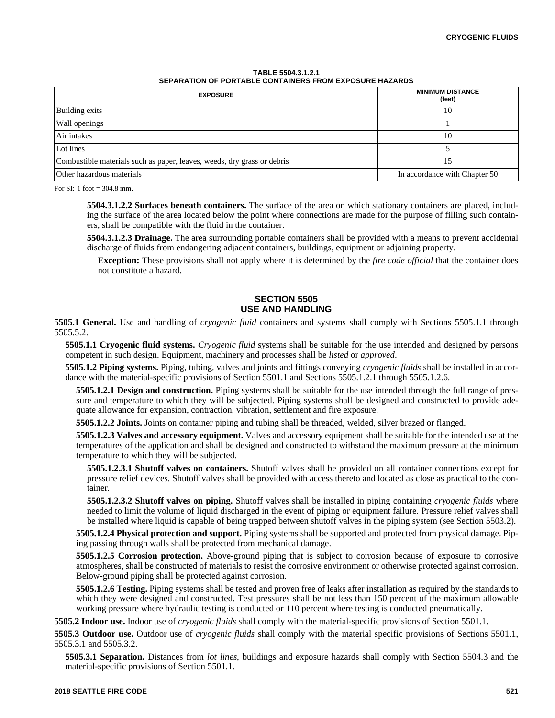| TABLE 5504.3.1.2.1                                      |  |
|---------------------------------------------------------|--|
| SEPARATION OF PORTABLE CONTAINERS FROM EXPOSURE HAZARDS |  |

| <b>EXPOSURE</b>                                                         | <b>MINIMUM DISTANCE</b><br>(feet) |
|-------------------------------------------------------------------------|-----------------------------------|
| Building exits                                                          | 10                                |
| Wall openings                                                           |                                   |
| Air intakes                                                             | 10                                |
| Lot lines                                                               |                                   |
| Combustible materials such as paper, leaves, weeds, dry grass or debris | 15                                |
| Other hazardous materials                                               | In accordance with Chapter 50     |

For SI: 1 foot  $=$  304.8 mm.

**5504.3.1.2.2 Surfaces beneath containers.** The surface of the area on which stationary containers are placed, including the surface of the area located below the point where connections are made for the purpose of filling such containers, shall be compatible with the fluid in the container.

**5504.3.1.2.3 Drainage.** The area surrounding portable containers shall be provided with a means to prevent accidental discharge of fluids from endangering adjacent containers, buildings, equipment or adjoining property.

**Exception:** These provisions shall not apply where it is determined by the *fire code official* that the container does not constitute a hazard.

# **SECTION 5505 USE AND HANDLING**

**5505.1 General.** Use and handling of *cryogenic fluid* containers and systems shall comply with Sections 5505.1.1 through 5505.5.2.

**5505.1.1 Cryogenic fluid systems.** *Cryogenic fluid* systems shall be suitable for the use intended and designed by persons competent in such design. Equipment, machinery and processes shall be *listed* or *approved*.

**5505.1.2 Piping systems.** Piping, tubing, valves and joints and fittings conveying *cryogenic fluids* shall be installed in accordance with the material-specific provisions of Section 5501.1 and Sections 5505.1.2.1 through 5505.1.2.6.

**5505.1.2.1 Design and construction.** Piping systems shall be suitable for the use intended through the full range of pressure and temperature to which they will be subjected. Piping systems shall be designed and constructed to provide adequate allowance for expansion, contraction, vibration, settlement and fire exposure.

**5505.1.2.2 Joints.** Joints on container piping and tubing shall be threaded, welded, silver brazed or flanged.

**5505.1.2.3 Valves and accessory equipment.** Valves and accessory equipment shall be suitable for the intended use at the temperatures of the application and shall be designed and constructed to withstand the maximum pressure at the minimum temperature to which they will be subjected.

**5505.1.2.3.1 Shutoff valves on containers.** Shutoff valves shall be provided on all container connections except for pressure relief devices. Shutoff valves shall be provided with access thereto and located as close as practical to the container.

**5505.1.2.3.2 Shutoff valves on piping.** Shutoff valves shall be installed in piping containing *cryogenic fluids* where needed to limit the volume of liquid discharged in the event of piping or equipment failure. Pressure relief valves shall be installed where liquid is capable of being trapped between shutoff valves in the piping system (see Section 5503.2).

**5505.1.2.4 Physical protection and support.** Piping systems shall be supported and protected from physical damage. Piping passing through walls shall be protected from mechanical damage.

**5505.1.2.5 Corrosion protection.** Above-ground piping that is subject to corrosion because of exposure to corrosive atmospheres, shall be constructed of materials to resist the corrosive environment or otherwise protected against corrosion. Below-ground piping shall be protected against corrosion.

**5505.1.2.6 Testing.** Piping systems shall be tested and proven free of leaks after installation as required by the standards to which they were designed and constructed. Test pressures shall be not less than 150 percent of the maximum allowable working pressure where hydraulic testing is conducted or 110 percent where testing is conducted pneumatically.

**5505.2 Indoor use.** Indoor use of *cryogenic fluids* shall comply with the material-specific provisions of Section 5501.1.

**5505.3 Outdoor use.** Outdoor use of *cryogenic fluids* shall comply with the material specific provisions of Sections 5501.1, 5505.3.1 and 5505.3.2.

**5505.3.1 Separation.** Distances from *lot lines*, buildings and exposure hazards shall comply with Section 5504.3 and the material-specific provisions of Section 5501.1.